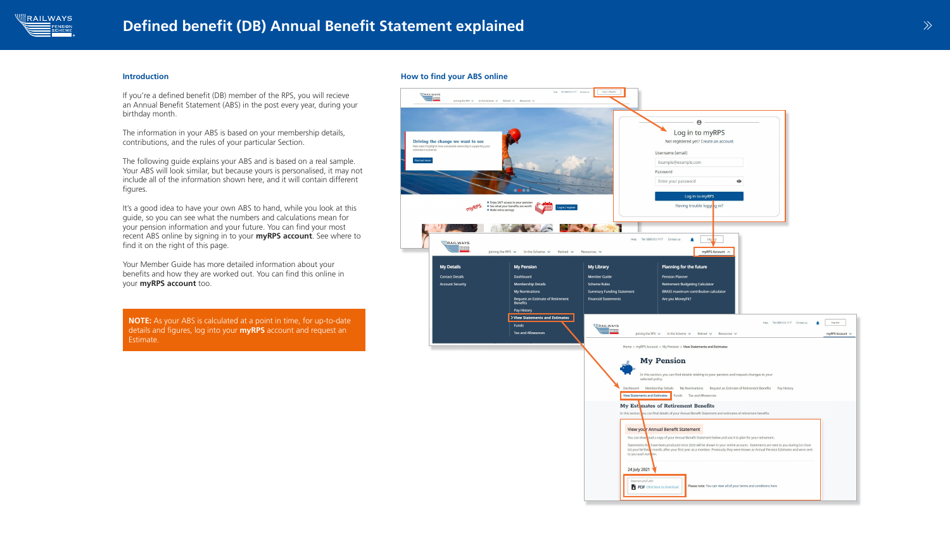### Introduction

If you're a defined benefit (DB) member of the RPS, you will recieve an Annual Benefit Statement (ABS) in the post every year, during your birthday month.

The information in your ABS is based on your membership details, contributions, and the rules of your particular Section.

The following guide explains your ABS and is based on a real sample. Your ABS will look similar, but because yours is personalised, it may not include all of the information shown here, and it will contain different figures.

Your Member Guide has more detailed information about your benefits and how they are worked out. You can find this online in your myRPS account too.

It's a good idea to have your own ABS to hand, while you look at this guide, so you can see what the numbers and calculations mean for your pension information and your future. You can find your most recent ABS online by signing in to your **myRPS account**. See where to find it on the right of this page.



How to find your ABS online



NOTE: As your ABS is calculated at a point in time, for up-to-date details and figures, log into your **myRPS** account and request an Estimate.

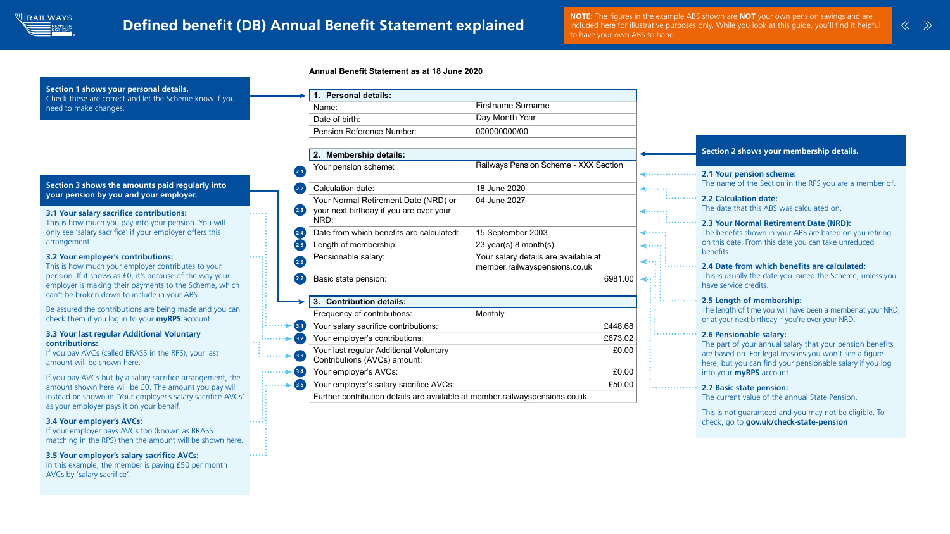

# Defined benefit (DB) Annual Benefit Statement explained

In this example, the member is paying £50 per month AVCs by 'salary sacrifice'.

NOTE: The figures in the example ABS shown are NOT your own pension savings and are included here for illustrative purposes only. While you look at this guide, you'll find it helpful to have your own ABS to hand.

check, go to gov.uk/check-state-pension.



 $\cdots$ 

|                      | <b>Firstname Surname</b>                     |                  |                                                                                                            |
|----------------------|----------------------------------------------|------------------|------------------------------------------------------------------------------------------------------------|
|                      | Day Month Year                               |                  |                                                                                                            |
|                      | 000000000/00                                 |                  |                                                                                                            |
|                      |                                              |                  |                                                                                                            |
|                      |                                              |                  | Section 2 shows your membership details.                                                                   |
|                      | <b>Railways Pension Scheme - XXX Section</b> |                  |                                                                                                            |
|                      |                                              |                  | <b>2.1 Your pension scheme:</b>                                                                            |
|                      | 18 June 2020                                 | $\bullet\bullet$ | The name of the Section in the RPS you are a member of.                                                    |
| <b>or</b>            | 04 June 2027                                 |                  | <b>2.2 Calculation date:</b>                                                                               |
|                      |                                              |                  | The date that this ABS was calculated on.                                                                  |
|                      |                                              |                  | 2.3 Your Normal Retirement Date (NRD):                                                                     |
| :ed:                 | 15 September 2003                            |                  | The benefits shown in your ABS are based on you retiring                                                   |
|                      | 23 year(s) 8 month(s)                        |                  | on this date. From this date you can take unreduced<br>benefits.                                           |
|                      | Your salary details are available at         |                  |                                                                                                            |
|                      | member.railwayspensions.co.uk                |                  | 2.4 Date from which benefits are calculated:<br>This is usually the date you joined the Scheme, unless you |
|                      | 6981.00                                      |                  | have service credits.                                                                                      |
|                      |                                              |                  |                                                                                                            |
|                      |                                              |                  | 2.5 Length of membership:<br>The length of time you will have been a member at your NRD,                   |
|                      | <b>Monthly</b>                               |                  | or at your next birthday if you're over your NRD.                                                          |
|                      | £448.68                                      |                  | 2.6 Pensionable salary:                                                                                    |
|                      | £673.02                                      |                  | The part of your annual salary that your pension benefits                                                  |
|                      | £0.00                                        |                  | are based on. For legal reasons you won't see a figure                                                     |
|                      |                                              |                  | here, but you can find your pensionable salary if you log                                                  |
|                      | £0.00                                        |                  | into your <b>myRPS</b> account.                                                                            |
| $\dot{\mathsf{S}}$ : | £50.00                                       |                  | <b>2.7 Basic state pension:</b>                                                                            |
|                      | ible at member.railwayspensions.co.uk        |                  | The current value of the annual State Pension.                                                             |
|                      |                                              |                  | This is not guaranteed and you may not be eligible. To                                                     |







### 3.5 Your employer's salary sacrifice AVCs: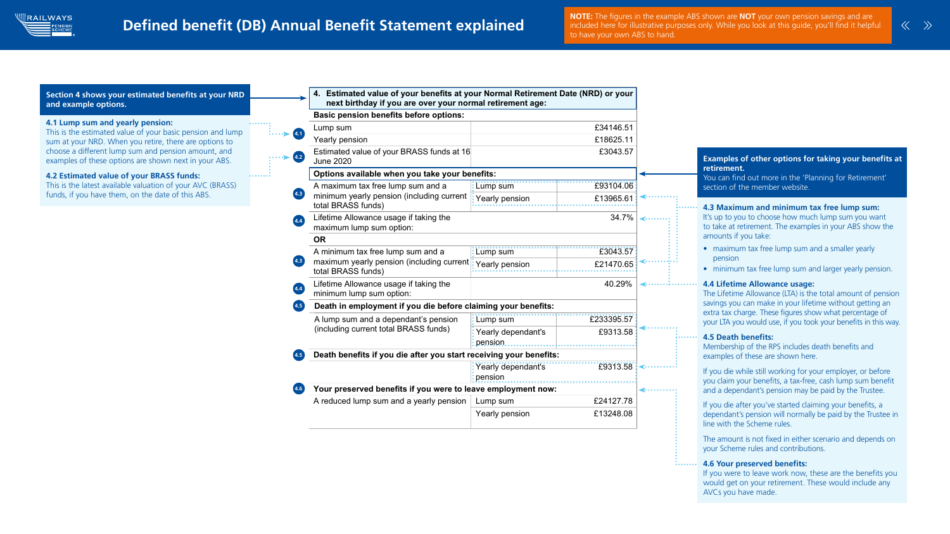

. . . . . . . .

## 4.1 Lump sum and yearly pension:

This is the estimated value of your basic pension and lump sum at your NRD. When you retire, there are options to choose a different lump sum and pension amount, and examples of these options are shown next in your ABS.

### 4.2 Estimated value of your BRASS funds:

This is the latest available valuation of your AVC (BRASS) funds, if you have them, on the date of this ABS.

### Section 4 shows your estimated benefits at your NRD and example options.

The amount is not fixed in either scenario and depends on your Scheme rules and contributions.

The figures in the example ABS shown are NOT your own pension savings and are not the example ABS shown are NOT your own pension savings and are included here for illustrative purposes only. While you look at this guide, you'll find it helpful to have your own ABS to hand.

|                     | 4. Estimated value of your benefits at your Normal Retirement Date (NRD) or your<br>next birthday if you are over your normal retirement age: |                               |            |                  |                                                                                                                                                         |
|---------------------|-----------------------------------------------------------------------------------------------------------------------------------------------|-------------------------------|------------|------------------|---------------------------------------------------------------------------------------------------------------------------------------------------------|
|                     | <b>Basic pension benefits before options:</b>                                                                                                 |                               |            |                  |                                                                                                                                                         |
|                     | £34146.51<br>Lump sum                                                                                                                         |                               |            |                  |                                                                                                                                                         |
| (4.1)               | £18625.11<br>Yearly pension                                                                                                                   |                               |            |                  |                                                                                                                                                         |
| (4.2)               | Estimated value of your BRASS funds at 16<br><b>June 2020</b>                                                                                 |                               | £3043.57   |                  | Examples of other options for taking your benefits at                                                                                                   |
|                     | Options available when you take your benefits:                                                                                                |                               |            |                  | retirement.<br>You can find out more in the 'Planning for Retirement'                                                                                   |
|                     | A maximum tax free lump sum and a                                                                                                             | Lump sum                      | £93104.06  |                  | section of the member website.                                                                                                                          |
| (4.3)               | minimum yearly pension (including current<br>total BRASS funds)                                                                               | Yearly pension                | £13965.61  |                  | 4.3 Maximum and minimum tax free lump sum:                                                                                                              |
| (4.4)               | $34.7\%$<br>Lifetime Allowance usage if taking the<br>maximum lump sum option:                                                                |                               |            |                  | It's up to you to choose how much lump sum you want<br>to take at retirement. The examples in your ABS show the                                         |
|                     | <b>OR</b>                                                                                                                                     |                               |            |                  | amounts if you take:                                                                                                                                    |
|                     | A minimum tax free lump sum and a<br>maximum yearly pension (including current)<br>total BRASS funds)                                         | Lump sum                      | £3043.57   |                  | • maximum tax free lump sum and a smaller yearly                                                                                                        |
| 4.3                 |                                                                                                                                               | Yearly pension                | £21470.65  |                  | pension<br>minimum tax free lump sum and larger yearly pension.                                                                                         |
| $\overline{4.4}$    | Lifetime Allowance usage if taking the<br>minimum lump sum option:                                                                            | 40.29%                        |            |                  | <b>4.4 Lifetime Allowance usage:</b><br>The Lifetime Allowance (LTA) is the total amount of pension                                                     |
| $\left( 4.5\right)$ | Death in employment if you die before claiming your benefits:                                                                                 |                               |            |                  | savings you can make in your lifetime without getting an                                                                                                |
|                     | A lump sum and a dependant's pension                                                                                                          | Lump sum                      | £233395.57 |                  | extra tax charge. These figures show what percentage of<br>your LTA you would use, if you took your benefits in this way.                               |
|                     | (including current total BRASS funds)                                                                                                         | Yearly dependant's<br>pension | £9313.58   | $\blacksquare$ . | <b>4.5 Death benefits:</b>                                                                                                                              |
| 4.5                 | Death benefits if you die after you start receiving your benefits:                                                                            |                               |            |                  | Membership of the RPS includes death benefits and<br>examples of these are shown here.                                                                  |
|                     |                                                                                                                                               | Yearly dependant's<br>pension | £9313.58   |                  | If you die while still working for your employer, or before                                                                                             |
| (4.6)               | Your preserved benefits if you were to leave employment now:                                                                                  |                               |            |                  | you claim your benefits, a tax-free, cash lump sum benefit<br>and a dependant's pension may be paid by the Trustee.                                     |
|                     | A reduced lump sum and a yearly pension                                                                                                       | Lump sum                      | £24127.78  |                  |                                                                                                                                                         |
|                     |                                                                                                                                               | Yearly pension                | £13248.08  |                  | If you die after you've started claiming your benefits, a<br>dependant's pension will normally be paid by the Trustee in<br>line with the Scheme rules. |
|                     |                                                                                                                                               |                               |            |                  | The amount is not fixed in either scenario and depends on                                                                                               |

Your employer's AVCs: £0.000 percent and the employer's AVCs: £0.000 percent and the employer's AVCs: £0.000 p<br>The employer's AVCs: £0.000 percent and the employer's AVCs: £0.000 percent and the employer's AVCs: £0.000 pe

### 4.6 Your preserved benefits:

If you were to leave work now, these are the benefits you would get on your retirement. These would include any AVCs you have made.





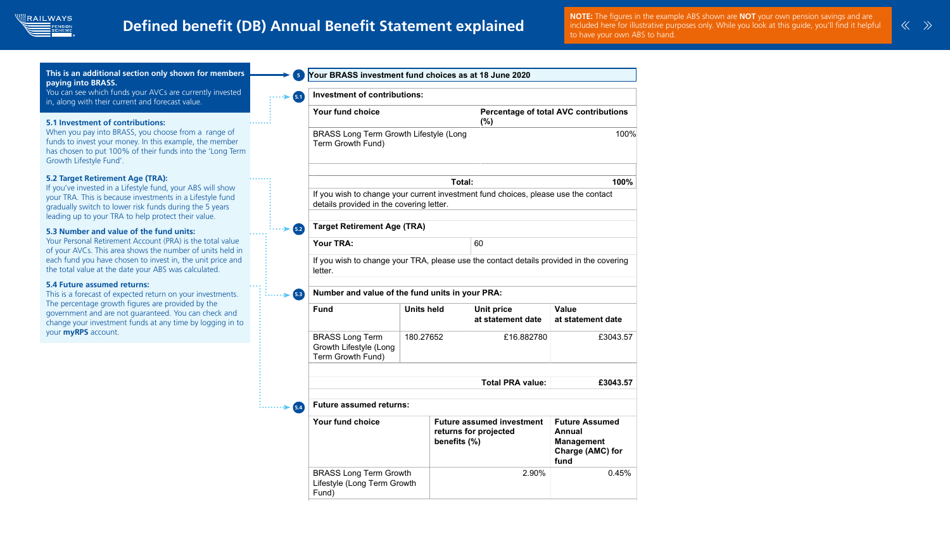

## Defined benefit (DB) Annual Benefit Statement explained

|            | (%)                                                  | <b>Percentage of total AVC contributions</b>                                            |
|------------|------------------------------------------------------|-----------------------------------------------------------------------------------------|
| (Long      |                                                      | 100%                                                                                    |
| Total:     |                                                      | 100%                                                                                    |
| r.         | rvestment fund choices, please use the contact       |                                                                                         |
|            |                                                      |                                                                                         |
|            | 60                                                   |                                                                                         |
|            |                                                      |                                                                                         |
|            | ase use the contact details provided in the covering |                                                                                         |
|            |                                                      |                                                                                         |
|            | ts in your PRA:                                      |                                                                                         |
|            | <b>Unit price</b><br>at statement date               | Value<br>at statement date                                                              |
|            | £16.882780                                           | £3043.57                                                                                |
|            |                                                      |                                                                                         |
|            | <b>Total PRA value:</b>                              | £3043.57                                                                                |
|            |                                                      |                                                                                         |
| nefits (%) | ture assumed investment<br>turns for projected       | <b>Future Assumed</b><br>Annual<br><b>Management</b><br><b>Charge (AMC) for</b><br>fund |





NOTE: The figures in the example ABS shown are NOT your own pension savings and are included here for illustrative purposes only. While you look at this guide, you'll find it helpful to have your own ABS to hand.